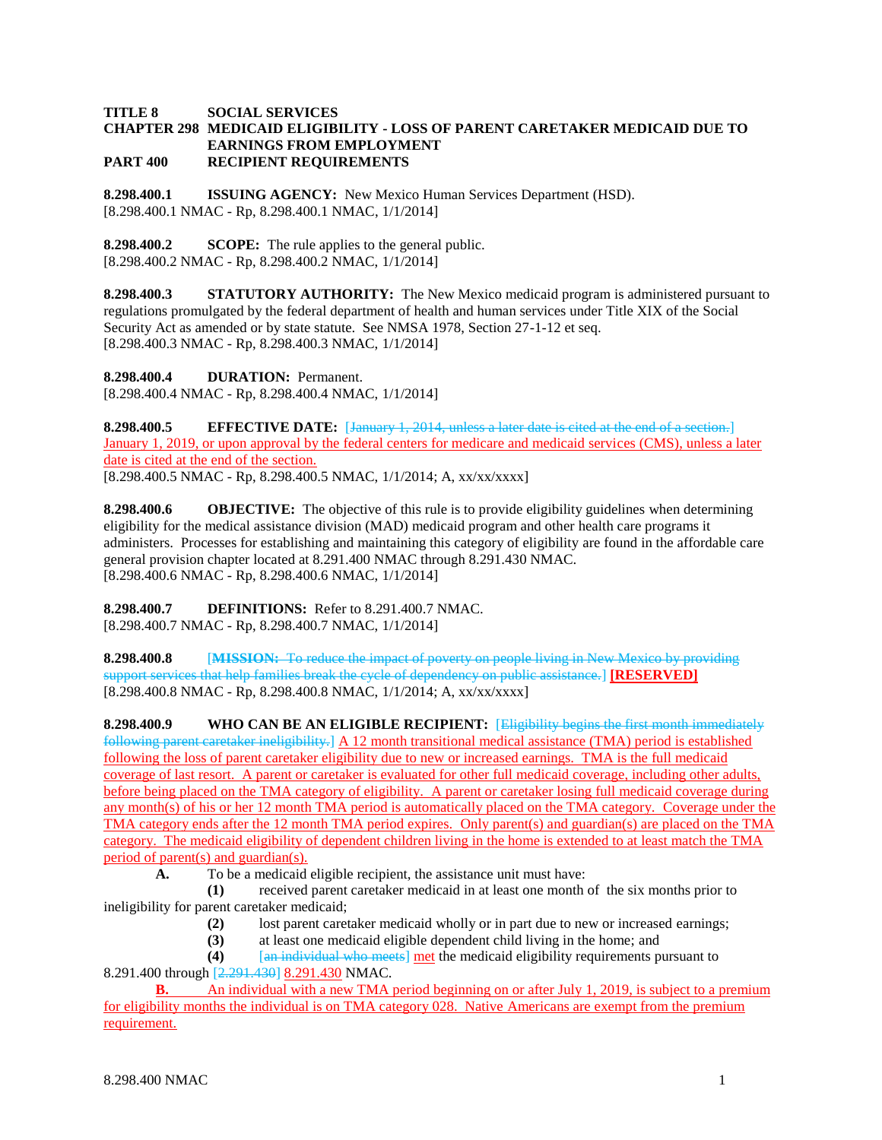## **TITLE 8 SOCIAL SERVICES CHAPTER 298 MEDICAID ELIGIBILITY - LOSS OF PARENT CARETAKER MEDICAID DUE TO EARNINGS FROM EMPLOYMENT PART 400 RECIPIENT REQUIREMENTS**

**8.298.400.1 ISSUING AGENCY:** New Mexico Human Services Department (HSD). [8.298.400.1 NMAC - Rp, 8.298.400.1 NMAC, 1/1/2014]

**8.298.400.2 SCOPE:** The rule applies to the general public. [8.298.400.2 NMAC - Rp, 8.298.400.2 NMAC, 1/1/2014]

**8.298.400.3 STATUTORY AUTHORITY:** The New Mexico medicaid program is administered pursuant to regulations promulgated by the federal department of health and human services under Title XIX of the Social Security Act as amended or by state statute. See NMSA 1978, Section 27-1-12 et seq. [8.298.400.3 NMAC - Rp, 8.298.400.3 NMAC, 1/1/2014]

**8.298.400.4 DURATION:** Permanent. [8.298.400.4 NMAC - Rp, 8.298.400.4 NMAC, 1/1/2014]

**8.298.400.5 EFFECTIVE DATE:** [January 1, 2014, unless a later date is cited at the end of a section.] January 1, 2019, or upon approval by the federal centers for medicare and medicaid services (CMS), unless a later date is cited at the end of the section. [8.298.400.5 NMAC - Rp, 8.298.400.5 NMAC, 1/1/2014; A, xx/xx/xxxx]

**8.298.400.6 OBJECTIVE:** The objective of this rule is to provide eligibility guidelines when determining eligibility for the medical assistance division (MAD) medicaid program and other health care programs it administers. Processes for establishing and maintaining this category of eligibility are found in the affordable care general provision chapter located at 8.291.400 NMAC through 8.291.430 NMAC. [8.298.400.6 NMAC - Rp, 8.298.400.6 NMAC, 1/1/2014]

**8.298.400.7 DEFINITIONS:** Refer to 8.291.400.7 NMAC. [8.298.400.7 NMAC - Rp, 8.298.400.7 NMAC, 1/1/2014]

**8.298.400.8** [**MISSION:** To reduce the impact of poverty on people living in New Mexico by providing support services that help families break the cycle of dependency on public assistance.] **[RESERVED]**  $[8.298.400.8 \text{ NMAC} - \text{Rp}, 8.298.400.8 \text{ NMAC}, 1/1/2014; \text{A}, \text{xx}/\text{xx}/\text{xx} \text{X}$ 

**8.298.400.9 WHO CAN BE AN ELIGIBLE RECIPIENT:** [Eligibility begins the first month immediately following parent caretaker ineligibility.] A 12 month transitional medical assistance (TMA) period is established following the loss of parent caretaker eligibility due to new or increased earnings. TMA is the full medicaid coverage of last resort. A parent or caretaker is evaluated for other full medicaid coverage, including other adults, before being placed on the TMA category of eligibility. A parent or caretaker losing full medicaid coverage during any month(s) of his or her 12 month TMA period is automatically placed on the TMA category. Coverage under the TMA category ends after the 12 month TMA period expires. Only parent(s) and guardian(s) are placed on the TMA category. The medicaid eligibility of dependent children living in the home is extended to at least match the TMA period of parent(s) and guardian(s).

**A.** To be a medicaid eligible recipient, the assistance unit must have:

**(1)** received parent caretaker medicaid in at least one month of the six months prior to ineligibility for parent caretaker medicaid;

- **(2)** lost parent caretaker medicaid wholly or in part due to new or increased earnings;
- **(3)** at least one medicaid eligible dependent child living in the home; and

**(4)** [an individual who meets] met the medicaid eligibility requirements pursuant to 8.291.400 through [2.291.430] 8.291.430 NMAC.

**B.** An individual with a new TMA period beginning on or after July 1, 2019, is subject to a premium for eligibility months the individual is on TMA category 028. Native Americans are exempt from the premium requirement.